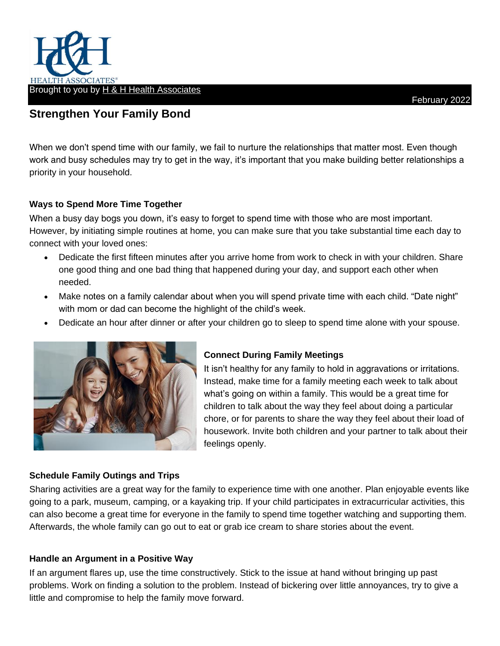

# **Strengthen Your Family Bond**

When we don't spend time with our family, we fail to nurture the relationships that matter most. Even though work and busy schedules may try to get in the way, it's important that you make building better relationships a priority in your household.

### **Ways to Spend More Time Together**

When a busy day bogs you down, it's easy to forget to spend time with those who are most important. However, by initiating simple routines at home, you can make sure that you take substantial time each day to connect with your loved ones:

- Dedicate the first fifteen minutes after you arrive home from work to check in with your children. Share one good thing and one bad thing that happened during your day, and support each other when needed.
- Make notes on a family calendar about when you will spend private time with each child. "Date night" with mom or dad can become the highlight of the child's week.
- Dedicate an hour after dinner or after your children go to sleep to spend time alone with your spouse.



## **Connect During Family Meetings**

It isn't healthy for any family to hold in aggravations or irritations. Instead, make time for a family meeting each week to talk about what's going on within a family. This would be a great time for children to talk about the way they feel about doing a particular chore, or for parents to share the way they feel about their load of housework. Invite both children and your partner to talk about their feelings openly.

#### **Schedule Family Outings and Trips**

Sharing activities are a great way for the family to experience time with one another. Plan enjoyable events like going to a park, museum, camping, or a kayaking trip. If your child participates in extracurricular activities, this can also become a great time for everyone in the family to spend time together watching and supporting them. Afterwards, the whole family can go out to eat or grab ice cream to share stories about the event.

#### **Handle an Argument in a Positive Way**

If an argument flares up, use the time constructively. Stick to the issue at hand without bringing up past problems. Work on finding a solution to the problem. Instead of bickering over little annoyances, try to give a little and compromise to help the family move forward.